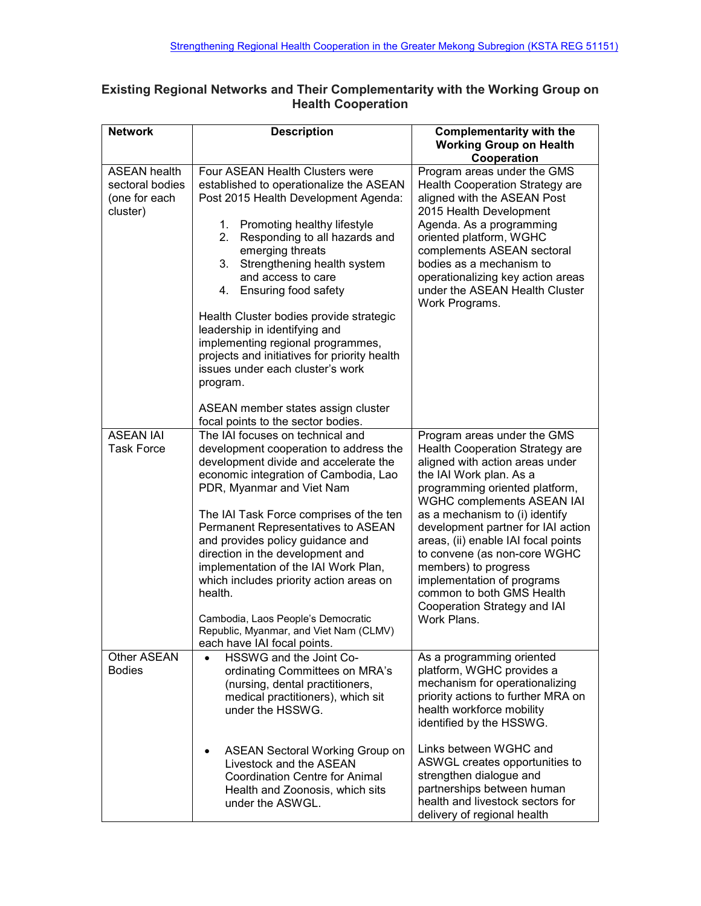## **Existing Regional Networks and Their Complementarity with the Working Group on Health Cooperation**

| <b>Network</b>                                                      | <b>Description</b>                                                                                                                                                                                                                                                                                                                                                                                                                                                                                                                                                                                    | <b>Complementarity with the</b><br><b>Working Group on Health</b><br>Cooperation                                                                                                                                                                                                                                                                                                                                                                                                     |
|---------------------------------------------------------------------|-------------------------------------------------------------------------------------------------------------------------------------------------------------------------------------------------------------------------------------------------------------------------------------------------------------------------------------------------------------------------------------------------------------------------------------------------------------------------------------------------------------------------------------------------------------------------------------------------------|--------------------------------------------------------------------------------------------------------------------------------------------------------------------------------------------------------------------------------------------------------------------------------------------------------------------------------------------------------------------------------------------------------------------------------------------------------------------------------------|
| <b>ASEAN health</b><br>sectoral bodies<br>(one for each<br>cluster) | Four ASEAN Health Clusters were<br>established to operationalize the ASEAN<br>Post 2015 Health Development Agenda:<br>Promoting healthy lifestyle<br>1.<br>2.<br>Responding to all hazards and<br>emerging threats<br>3.<br>Strengthening health system<br>and access to care<br>Ensuring food safety<br>4.<br>Health Cluster bodies provide strategic<br>leadership in identifying and<br>implementing regional programmes,<br>projects and initiatives for priority health<br>issues under each cluster's work<br>program.<br>ASEAN member states assign cluster                                    | Program areas under the GMS<br><b>Health Cooperation Strategy are</b><br>aligned with the ASEAN Post<br>2015 Health Development<br>Agenda. As a programming<br>oriented platform, WGHC<br>complements ASEAN sectoral<br>bodies as a mechanism to<br>operationalizing key action areas<br>under the ASEAN Health Cluster<br>Work Programs.                                                                                                                                            |
| <b>ASEAN IAI</b><br><b>Task Force</b>                               | focal points to the sector bodies.<br>The IAI focuses on technical and<br>development cooperation to address the<br>development divide and accelerate the<br>economic integration of Cambodia, Lao<br>PDR, Myanmar and Viet Nam<br>The IAI Task Force comprises of the ten<br>Permanent Representatives to ASEAN<br>and provides policy guidance and<br>direction in the development and<br>implementation of the IAI Work Plan,<br>which includes priority action areas on<br>health.<br>Cambodia, Laos People's Democratic<br>Republic, Myanmar, and Viet Nam (CLMV)<br>each have IAI focal points. | Program areas under the GMS<br><b>Health Cooperation Strategy are</b><br>aligned with action areas under<br>the IAI Work plan. As a<br>programming oriented platform,<br>WGHC complements ASEAN IAI<br>as a mechanism to (i) identify<br>development partner for IAI action<br>areas, (ii) enable IAI focal points<br>to convene (as non-core WGHC<br>members) to progress<br>implementation of programs<br>common to both GMS Health<br>Cooperation Strategy and IAI<br>Work Plans. |
| Other ASEAN<br><b>Bodies</b>                                        | HSSWG and the Joint Co-<br>ordinating Committees on MRA's<br>(nursing, dental practitioners,<br>medical practitioners), which sit<br>under the HSSWG.<br><b>ASEAN Sectoral Working Group on</b><br>٠<br>Livestock and the ASEAN<br><b>Coordination Centre for Animal</b><br>Health and Zoonosis, which sits<br>under the ASWGL.                                                                                                                                                                                                                                                                       | As a programming oriented<br>platform, WGHC provides a<br>mechanism for operationalizing<br>priority actions to further MRA on<br>health workforce mobility<br>identified by the HSSWG.<br>Links between WGHC and<br>ASWGL creates opportunities to<br>strengthen dialogue and<br>partnerships between human<br>health and livestock sectors for<br>delivery of regional health                                                                                                      |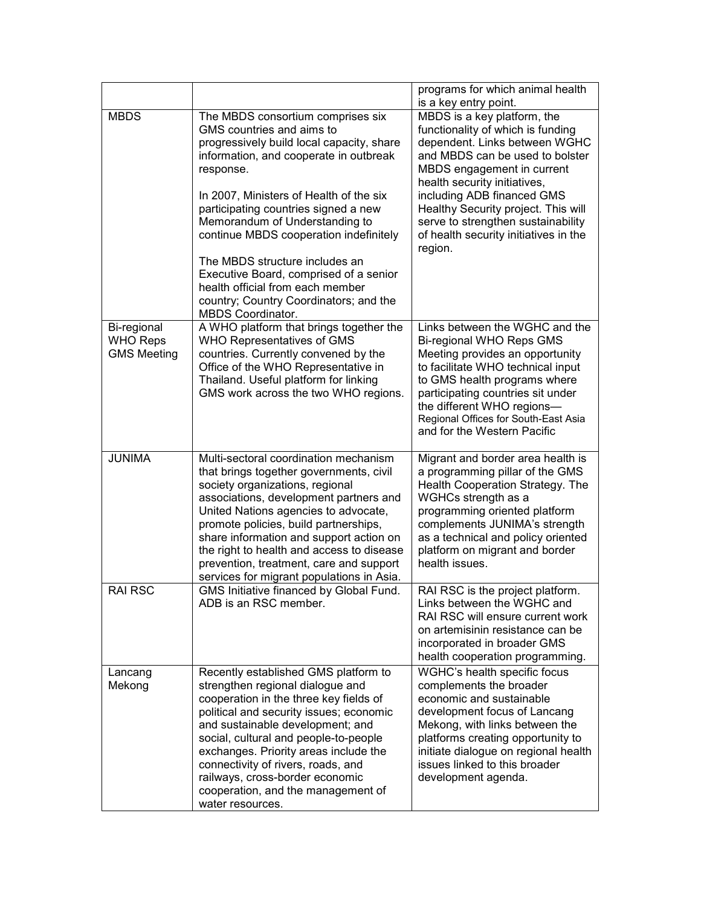|                                                      |                                                                                                                                                                                                                                                                                                                                                                                                                                | programs for which animal health<br>is a key entry point.                                                                                                                                                                                                                                                    |
|------------------------------------------------------|--------------------------------------------------------------------------------------------------------------------------------------------------------------------------------------------------------------------------------------------------------------------------------------------------------------------------------------------------------------------------------------------------------------------------------|--------------------------------------------------------------------------------------------------------------------------------------------------------------------------------------------------------------------------------------------------------------------------------------------------------------|
| <b>MBDS</b>                                          | The MBDS consortium comprises six<br>GMS countries and aims to<br>progressively build local capacity, share<br>information, and cooperate in outbreak<br>response.                                                                                                                                                                                                                                                             | MBDS is a key platform, the<br>functionality of which is funding<br>dependent. Links between WGHC<br>and MBDS can be used to bolster<br>MBDS engagement in current<br>health security initiatives,                                                                                                           |
|                                                      | In 2007, Ministers of Health of the six<br>participating countries signed a new<br>Memorandum of Understanding to<br>continue MBDS cooperation indefinitely                                                                                                                                                                                                                                                                    | including ADB financed GMS<br>Healthy Security project. This will<br>serve to strengthen sustainability<br>of health security initiatives in the<br>region.                                                                                                                                                  |
|                                                      | The MBDS structure includes an<br>Executive Board, comprised of a senior<br>health official from each member<br>country; Country Coordinators; and the<br>MBDS Coordinator.                                                                                                                                                                                                                                                    |                                                                                                                                                                                                                                                                                                              |
| Bi-regional<br><b>WHO Reps</b><br><b>GMS Meeting</b> | A WHO platform that brings together the<br>WHO Representatives of GMS<br>countries. Currently convened by the<br>Office of the WHO Representative in<br>Thailand. Useful platform for linking<br>GMS work across the two WHO regions.                                                                                                                                                                                          | Links between the WGHC and the<br>Bi-regional WHO Reps GMS<br>Meeting provides an opportunity<br>to facilitate WHO technical input<br>to GMS health programs where<br>participating countries sit under<br>the different WHO regions-<br>Regional Offices for South-East Asia<br>and for the Western Pacific |
| <b>JUNIMA</b>                                        | Multi-sectoral coordination mechanism<br>that brings together governments, civil<br>society organizations, regional<br>associations, development partners and<br>United Nations agencies to advocate,<br>promote policies, build partnerships,<br>share information and support action on<br>the right to health and access to disease<br>prevention, treatment, care and support<br>services for migrant populations in Asia. | Migrant and border area health is<br>a programming pillar of the GMS<br>Health Cooperation Strategy. The<br>WGHCs strength as a<br>programming oriented platform<br>complements JUNIMA's strength<br>as a technical and policy oriented<br>platform on migrant and border<br>health issues.                  |
| <b>RAI RSC</b>                                       | <b>GMS Initiative financed by Global Fund</b><br>ADB is an RSC member.                                                                                                                                                                                                                                                                                                                                                         | RAI RSC is the project platform.<br>Links between the WGHC and<br>RAI RSC will ensure current work<br>on artemisinin resistance can be<br>incorporated in broader GMS<br>health cooperation programming.                                                                                                     |
| Lancang<br>Mekong                                    | Recently established GMS platform to<br>strengthen regional dialogue and<br>cooperation in the three key fields of<br>political and security issues; economic<br>and sustainable development; and<br>social, cultural and people-to-people<br>exchanges. Priority areas include the<br>connectivity of rivers, roads, and<br>railways, cross-border economic<br>cooperation, and the management of<br>water resources.         | WGHC's health specific focus<br>complements the broader<br>economic and sustainable<br>development focus of Lancang<br>Mekong, with links between the<br>platforms creating opportunity to<br>initiate dialogue on regional health<br>issues linked to this broader<br>development agenda.                   |